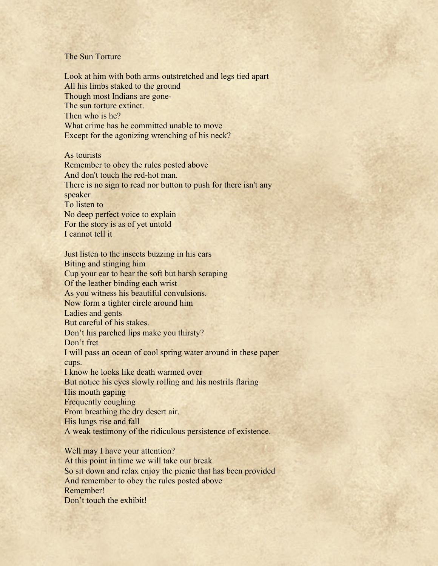## The Sun Torture

Look at him with both arms outstretched and legs tied apart All his limbs staked to the ground Though most Indians are gone-The sun torture extinct. Then who is he? What crime has he committed unable to move Except for the agonizing wrenching of his neck?

As tourists Remember to obey the rules posted above And don't touch the red-hot man. There is no sign to read nor button to push for there isn't any speaker To listen to No deep perfect voice to explain For the story is as of yet untold I cannot tell it

Just listen to the insects buzzing in his ears Biting and stinging him Cup your ear to hear the soft but harsh scraping Of the leather binding each wrist As you witness his beautiful convulsions. Now form a tighter circle around him Ladies and gents But careful of his stakes. Don't his parched lips make you thirsty? Don't fret I will pass an ocean of cool spring water around in these paper cups. I know he looks like death warmed over But notice his eyes slowly rolling and his nostrils flaring His mouth gaping Frequently coughing From breathing the dry desert air. His lungs rise and fall A weak testimony of the ridiculous persistence of existence.

Well may I have your attention? At this point in time we will take our break So sit down and relax enjoy the picnic that has been provided And remember to obey the rules posted above Remember! Don't touch the exhibit!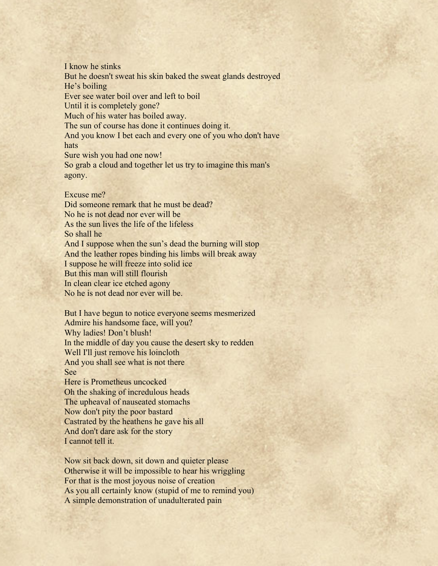I know he stinks But he doesn't sweat his skin baked the sweat glands destroyed He's boiling Ever see water boil over and left to boil Until it is completely gone? Much of his water has boiled away. The sun of course has done it continues doing it. And you know I bet each and every one of you who don't have hats Sure wish you had one now! So grab a cloud and together let us try to imagine this man's agony.

## Excuse me?

Did someone remark that he must be dead? No he is not dead nor ever will be As the sun lives the life of the lifeless So shall he And I suppose when the sun's dead the burning will stop And the leather ropes binding his limbs will break away I suppose he will freeze into solid ice But this man will still flourish In clean clear ice etched agony No he is not dead nor ever will be.

But I have begun to notice everyone seems mesmerized Admire his handsome face, will you? Why ladies! Don't blush! In the middle of day you cause the desert sky to redden Well I'll just remove his loincloth And you shall see what is not there See

Here is Prometheus uncocked Oh the shaking of incredulous heads The upheaval of nauseated stomachs Now don't pity the poor bastard Castrated by the heathens he gave his all And don't dare ask for the story I cannot tell it.

Now sit back down, sit down and quieter please Otherwise it will be impossible to hear his wriggling For that is the most joyous noise of creation As you all certainly know (stupid of me to remind you) A simple demonstration of unadulterated pain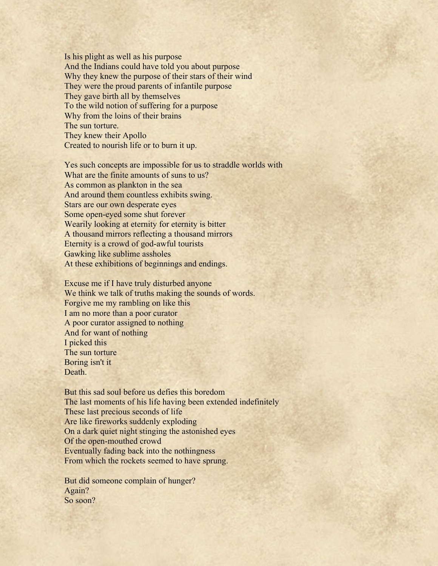Is his plight as well as his purpose And the Indians could have told you about purpose Why they knew the purpose of their stars of their wind They were the proud parents of infantile purpose They gave birth all by themselves To the wild notion of suffering for a purpose Why from the loins of their brains The sun torture. They knew their Apollo Created to nourish life or to burn it up.

Yes such concepts are impossible for us to straddle worlds with What are the finite amounts of suns to us? As common as plankton in the sea And around them countless exhibits swing. Stars are our own desperate eyes Some open-eyed some shut forever Wearily looking at eternity for eternity is bitter A thousand mirrors reflecting a thousand mirrors Eternity is a crowd of god-awful tourists Gawking like sublime assholes At these exhibitions of beginnings and endings.

Excuse me if I have truly disturbed anyone We think we talk of truths making the sounds of words. Forgive me my rambling on like this I am no more than a poor curator A poor curator assigned to nothing And for want of nothing I picked this The sun torture Boring isn't it Death.

But this sad soul before us defies this boredom The last moments of his life having been extended indefinitely These last precious seconds of life Are like fireworks suddenly exploding On a dark quiet night stinging the astonished eyes Of the open-mouthed crowd Eventually fading back into the nothingness From which the rockets seemed to have sprung.

But did someone complain of hunger? Again? So soon?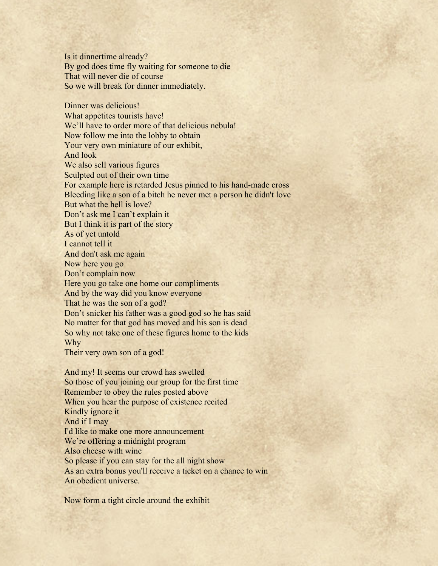Is it dinnertime already? By god does time fly waiting for someone to die That will never die of course So we will break for dinner immediately.

Dinner was delicious! What appetites tourists have! We'll have to order more of that delicious nebula! Now follow me into the lobby to obtain Your very own miniature of our exhibit, And look We also sell various figures Sculpted out of their own time For example here is retarded Jesus pinned to his hand-made cross Bleeding like a son of a bitch he never met a person he didn't love But what the hell is love? Don't ask me I can't explain it But I think it is part of the story As of yet untold I cannot tell it And don't ask me again Now here you go Don't complain now Here you go take one home our compliments And by the way did you know everyone That he was the son of a god? Don't snicker his father was a good god so he has said No matter for that god has moved and his son is dead So why not take one of these figures home to the kids Why Their very own son of a god! And my! It seems our crowd has swelled So those of you joining our group for the first time Remember to obey the rules posted above

When you hear the purpose of existence recited Kindly ignore it

And if I may

I'd like to make one more announcement

We're offering a midnight program

Also cheese with wine

So please if you can stay for the all night show

As an extra bonus you'll receive a ticket on a chance to win An obedient universe.

Now form a tight circle around the exhibit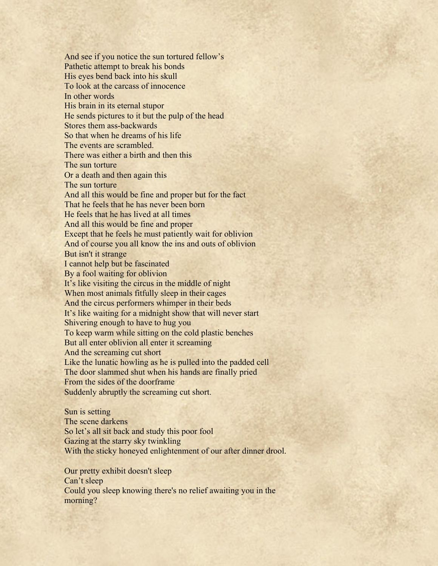And see if you notice the sun tortured fellow's Pathetic attempt to break his bonds His eyes bend back into his skull To look at the carcass of innocence In other words His brain in its eternal stupor He sends pictures to it but the pulp of the head Stores them ass-backwards So that when he dreams of his life The events are scrambled. There was either a birth and then this The sun torture Or a death and then again this The sun torture And all this would be fine and proper but for the fact That he feels that he has never been born He feels that he has lived at all times And all this would be fine and proper Except that he feels he must patiently wait for oblivion And of course you all know the ins and outs of oblivion But isn't it strange I cannot help but be fascinated By a fool waiting for oblivion It's like visiting the circus in the middle of night When most animals fitfully sleep in their cages And the circus performers whimper in their beds It's like waiting for a midnight show that will never start Shivering enough to have to hug you To keep warm while sitting on the cold plastic benches But all enter oblivion all enter it screaming And the screaming cut short Like the lunatic howling as he is pulled into the padded cell The door slammed shut when his hands are finally pried From the sides of the doorframe Suddenly abruptly the screaming cut short.

Sun is setting The scene darkens So let's all sit back and study this poor fool Gazing at the starry sky twinkling With the sticky honeyed enlightenment of our after dinner drool.

Our pretty exhibit doesn't sleep Can't sleep Could you sleep knowing there's no relief awaiting you in the morning?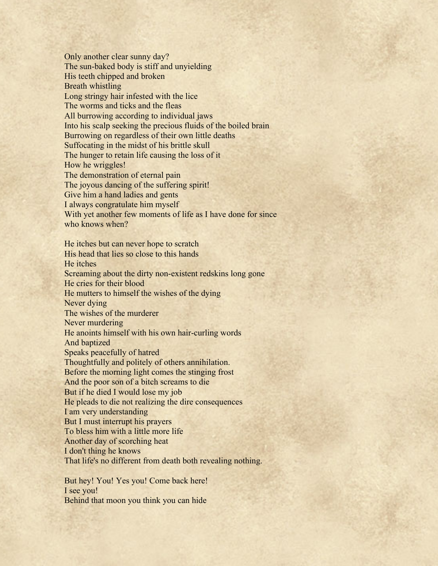Only another clear sunny day? The sun-baked body is stiff and unyielding His teeth chipped and broken Breath whistling Long stringy hair infested with the lice The worms and ticks and the fleas All burrowing according to individual jaws Into his scalp seeking the precious fluids of the boiled brain Burrowing on regardless of their own little deaths Suffocating in the midst of his brittle skull The hunger to retain life causing the loss of it How he wriggles! The demonstration of eternal pain The joyous dancing of the suffering spirit! Give him a hand ladies and gents I always congratulate him myself With yet another few moments of life as I have done for since who knows when? He itches but can never hope to scratch His head that lies so close to this hands He itches Screaming about the dirty non-existent redskins long gone He cries for their blood He mutters to himself the wishes of the dying Never dying The wishes of the murderer Never murdering He anoints himself with his own hair-curling words

And baptized

Speaks peacefully of hatred

Thoughtfully and politely of others annihilation.

Before the morning light comes the stinging frost

And the poor son of a bitch screams to die

But if he died I would lose my job

He pleads to die not realizing the dire consequences

I am very understanding

But I must interrupt his prayers

To bless him with a little more life

Another day of scorching heat

I don't thing he knows

That life's no different from death both revealing nothing.

But hey! You! Yes you! Come back here! I see you! Behind that moon you think you can hide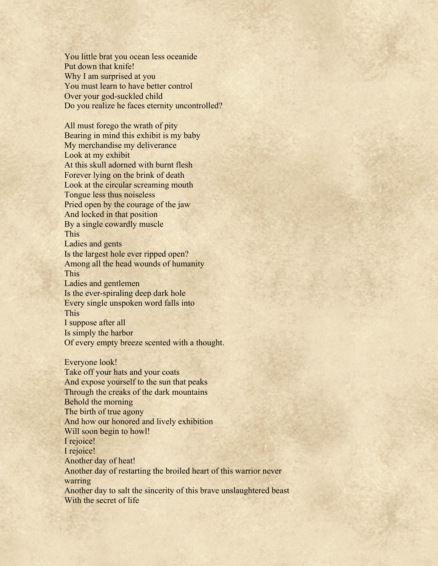You little brat you ocean less oceanide Put down that knife! Why I am surprised at you You must learn to have better control Over your god-suckled child Do you realize he faces eternity uncontrolled?

All must forego the wrath of pity Bearing in mind this exhibit is my baby My merchandise my deliverance Look at my exhibit At this skull adorned with burnt flesh Forever lying on the brink of death Look at the circular screaming mouth Tongue less thus noiseless Pried open by the courage of the jaw And locked in that position By a single cowardly muscle This Ladies and gents Is the largest hole ever ripped open? Among all the head wounds of humanity This Ladies and gentlemen Is the ever-spiraling deep dark hole Every single unspoken word falls into This I suppose after all Is simply the harbor Of every empty breeze scented with a thought. Everyone look!

Take off your hats and your coats And expose yourself to the sun that peaks Through the creaks of the dark mountains Behold the morning The birth of true agony And how our honored and lively exhibition Will soon begin to howl! I rejoice! I rejoice! Another day of heat! Another day of restarting the broiled heart of this warrior never warring Another day to salt the sincerity of this brave unslaughtered beast With the secret of life